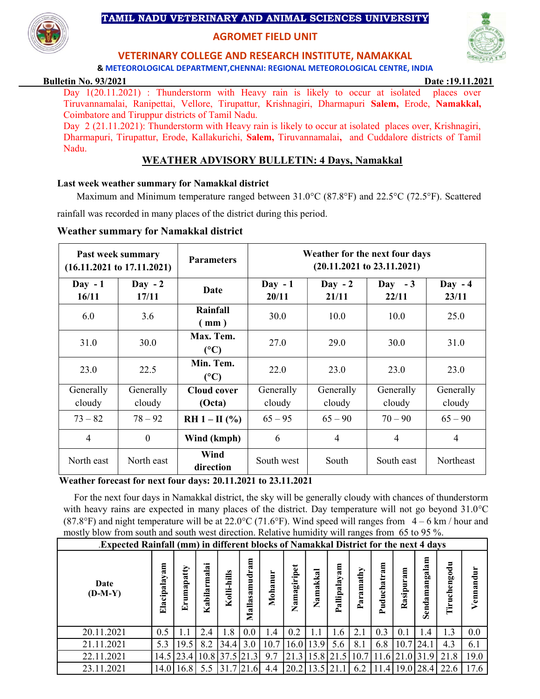# TAMIL NADU VETERINARY AND ANIMAL SCIENCES UNIVERSITY

# AGROMET FIELD UNIT

# VETERINARY COLLEGE AND RESEARCH INSTITUTE, NAMAKKAL

& METEOROLOGICAL DEPARTMENT,CHENNAI: REGIONAL METEOROLOGICAL CENTRE, INDIA

#### Bulletin No. 93/2021 Date :19.11.2021

Day 1(20.11.2021) : Thunderstorm with Heavy rain is likely to occur at isolated places over Tiruvannamalai, Ranipettai, Vellore, Tirupattur, Krishnagiri, Dharmapuri Salem, Erode, Namakkal, Coimbatore and Tiruppur districts of Tamil Nadu.

Day 2 (21.11.2021): Thunderstorm with Heavy rain is likely to occur at isolated places over, Krishnagiri, Dharmapuri, Tirupattur, Erode, Kallakurichi, Salem, Tiruvannamalai, and Cuddalore districts of Tamil Nadu.

# WEATHER ADVISORY BULLETIN: 4 Days, Namakkal

#### Last week weather summary for Namakkal district

Maximum and Minimum temperature ranged between  $31.0^{\circ}$ C (87.8°F) and 22.5°C (72.5°F). Scattered rainfall was recorded in many places of the district during this period.

### Weather summary for Namakkal district

|                     | Past week summary<br>$(16.11.2021$ to $17.11.2021)$ | <b>Parameters</b>            | Weather for the next four days<br>$(20.11.2021$ to $23.11.2021)$ |                     |                     |                     |  |  |  |  |  |
|---------------------|-----------------------------------------------------|------------------------------|------------------------------------------------------------------|---------------------|---------------------|---------------------|--|--|--|--|--|
| $Day - 1$<br>16/11  | $Day -2$<br>17/11                                   | Date                         | $Day - 1$<br>20/11                                               | $Day -2$<br>21/11   | Day $-3$<br>22/11   | $Day - 4$<br>23/11  |  |  |  |  |  |
| 6.0                 | 3.6                                                 | Rainfall<br>(mm)             | 30.0                                                             | 10.0                | 10.0                | 25.0                |  |  |  |  |  |
| 31.0                | <b>30.0</b>                                         | Max. Tem.<br>$(^{\circ}C)$   | 27.0                                                             | 29.0                | 30.0                | 31.0                |  |  |  |  |  |
| 23.0                | 22.5                                                | Min. Tem.<br>(C)             | 22.0                                                             | 23.0                | 23.0                | 23.0                |  |  |  |  |  |
| Generally<br>cloudy | Generally<br>cloudy                                 | <b>Cloud cover</b><br>(Octa) | Generally<br>cloudy                                              | Generally<br>cloudy | Generally<br>cloudy | Generally<br>cloudy |  |  |  |  |  |
| $73 - 82$           | $78 - 92$                                           | $RH 1 - II$ (%)              | $65 - 95$                                                        | $65 - 90$           | $70 - 90$           | $65 - 90$           |  |  |  |  |  |
| $\overline{4}$      | $\theta$                                            | Wind (kmph)                  | 6                                                                | 4                   | $\overline{4}$      | $\overline{4}$      |  |  |  |  |  |
| North east          | North east                                          | Wind<br>direction            | South west                                                       | South               | South east          | Northeast           |  |  |  |  |  |

### Weather forecast for next four days: 20.11.2021 to 23.11.2021

 For the next four days in Namakkal district, the sky will be generally cloudy with chances of thunderstorm with heavy rains are expected in many places of the district. Day temperature will not go beyond  $31.0^{\circ}$ C (87.8°F) and night temperature will be at 22.0°C (71.6°F). Wind speed will ranges from  $4 - 6$  km / hour and mostly blow from south and south west direction. Relative humidity will ranges from 65 to 95 %.

| Expected Rainfall (mm) in different blocks of Namakkal District for the next 4 days |              |               |                                                                   |                 |                                          |         |             |                             |                                     |                  |                         |                    |                      |                  |                          |
|-------------------------------------------------------------------------------------|--------------|---------------|-------------------------------------------------------------------|-----------------|------------------------------------------|---------|-------------|-----------------------------|-------------------------------------|------------------|-------------------------|--------------------|----------------------|------------------|--------------------------|
| Date<br>$(D-M-Y)$                                                                   | Elacipalayam | umapatty<br>夁 | $\mathbf{a}$<br>$\overline{\mathbf{m}}$ a<br>$\ddot{a}$<br>Kabil: | Kolli-hills     | ε<br>Z<br>ਵੂ<br>≣<br>sai<br>⊒็<br>ಷ<br>Σ | Mohanur | Namagiripet | Namakkal                    | am<br>$a$ y<br>ಷ<br>allip<br>$\sim$ | amathy<br>ಷ<br>≏ | 톱<br>ನ<br>uduchatr<br>≏ | 톱<br>a,<br>Rasipur | Sendamangalam        | engodu<br>g<br>È | ÷ч<br>ā<br>ā<br>enn<br>⊳ |
| 20.11.2021                                                                          | 0.5          | $\mathbf{L}$  | 2.4                                                               | 1.8             | 0.0                                      | 1.4     | 0.2         | 1.1                         | l.6                                 | 2.1              | 0.3                     | (0.1)              | .4                   | 1.3              | 0.0                      |
| 21.11.2021                                                                          | 5.3          | 19.5          | 8.2                                                               | 34.4            | 3.0                                      | 10.7    |             | $16.0$   13.9               | 5.6                                 | 8.1              | 6.8                     | 10.7               | 24.1                 | 4.3              | 6.1                      |
| 22.11.2021                                                                          |              | 14.5   23.4   |                                                                   | $10.8$ 37.5 21. | .31                                      | 9.7     |             | $21.3$   15.8   21.5   10.7 |                                     |                  |                         |                    | $11.6$ $21.0$ $31.9$ | 21.8             | 19.0                     |
| 23.11.2021                                                                          |              | 14.0 16.8     | 5.5                                                               | 31.7            | 21.6                                     | 4.4     |             | $20.2$   13.5   21.1        |                                     | 6.2              |                         |                    | 11.4 19.0 28.4       | 22.6             | 17.6                     |